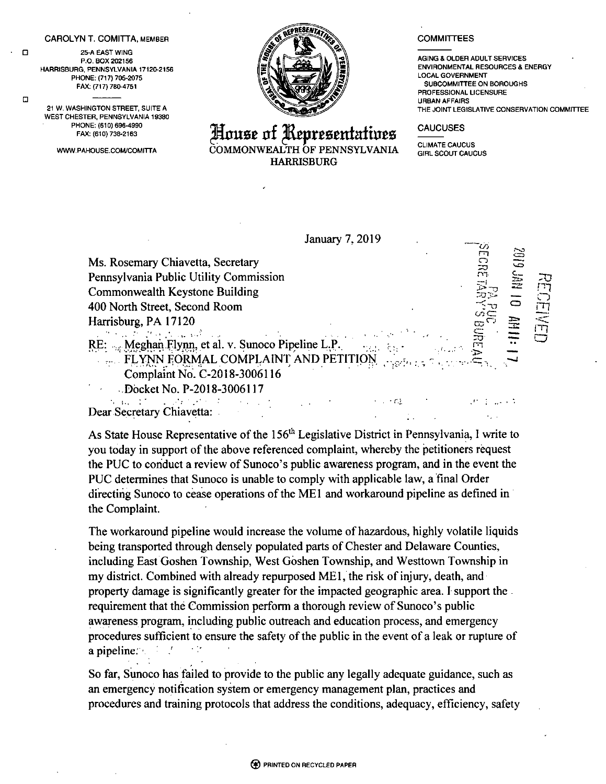## **CAROLYN T. COMITTA,** member

25-A EAST WING P.O. BOX 202156 HARRISBURG, PENNSYLVANIA 17120-2156 PHONE: (717) 705-2075 FAX: (717) 780-4751

 $\Box$ 

 $\Box$ 

21 W, WASHINGTON STREET, SUITE A WEST CHESTER, PENNSYLVANIA 19380 PHONE: (610) 696-4990 FAX: (610) 738-2163

WWW.PAHOUSE.COM/COMITTA



**blouse of ^RcprcamfaftoBS** COMMONWEALTH OF PENNSYLVANIA HARRISBURG

January 7,2019

 $\sim 100$  m  $\mu$ 

## **COMMITTEES**

AGING & OLDER ADULT SERVICES ENVIRONMENTAL RESOURCES & ENERGY LOCAL GOVERNMENT SUBCOMMITTEE ON BOROUGHS PROFESSIONAL LICENSURE URBAN AFFAIRS THE JOINT LEGISLATIVE CONSERVATION COMMITTEE

r-o

*rn* — *C~)* CD <sup>i</sup> *'l*

rz *m*

 $10 - 10$  and  $10$ 

## **CAUCUSES**

CLIMATE CAUCUS GIRL SCOUT CAUCUS

`<u>o</u>  $\overline{\Gamma}$  $\overline{\mathbf{C}}$ Ms. Rosemary Chiavetta, Secretary  $\geq$  $\widetilde{\mathbb{C}}$   $\mathbb{C}$   $\mathbb{C}$   $\mathbb{C}$ Pennsylvania Public Utility Commission Commonwealth Keystone Building 400 North Street, Second Room  $\infty$  $\frac{\text{MS}}{\text{SO}}$  3 Harrisburg, PA 17120  $\subseteq$  $\label{eq:2.1} \mathcal{D} = \mathcal{D} \left( \mathcal{D} \right) \left( \mathcal{D} \right) \left( \mathcal{D} \right) \left( \mathcal{D} \right) \left( \mathcal{D} \right)$ ro- *CD* <sup>m</sup> RE: .... Meghan Flynn, et al. v. Sunoco Pipeline L.P.  $\mathbb{Z}$   $\ddot{\mathbb{Z}}$ FLYNN FORMAL COMPLAINT AND PETITION Complaint No. C-2018-3006116 -Docket No. P-2018-3006117

 $\sim 10^{-10}$  M  $\mathcal{O}(\mathcal{O}_\mathcal{A})$  , where  $\mathcal{O}_\mathcal{A}$ Dear Secretary Chiavetta:

As State House Representative of the  $156<sup>th</sup>$  Legislative District in Pennsylvania, I write to you today in support of the above referenced complaint, whereby the petitioners request the PUC to conduct a review of Sunoco's public awareness program, and in the event the PUC determines that Sunoco is unable to comply with applicable law, a final Order directing Sunoco to cease operations of the ME1 and workaround pipeline as defined in the Complaint.

The workaround pipeline would increase the volume of hazardous, highly volatile liquids being transported through densely populated parts of Chester and Delaware Counties, including East Goshen Township, West Goshen Township, and Westtown Township in my district. Combined with already repurposed ME1, the risk ofinjury, death, and property damage is significantly greater for the impacted geographic area. I support the requirement that the Commission perform a thorough review of Sunoco's public awareness program, including public outreach and education process, and emergency procedures sufficient to ensure the safety of the public in the event of a leak or rupture of a pipeline.

So far, Sunoco has failed to provide to the public any legally adequate guidance, such as an emergency notification system or emergency management plan, practices and procedures and training protocols that address the conditions, adequacy, efficiency, safety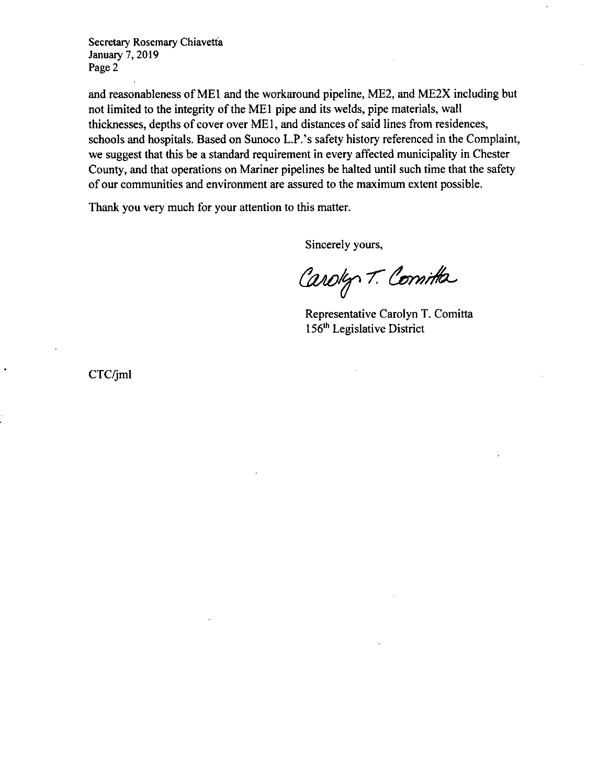Secretary Rosemary Chiavetta January 7,2019 Page 2

and reasonableness of ME1 and the workaround pipeline, ME2, and ME2X including but not limited to the integrity of the ME1 pipe and its welds, pipe materials, wall thicknesses, depths of cover over ME1, and distances of said lines from residences, schools and hospitals. Based on Sunoco L.P.'s safety history referenced in the Complaint, we suggest that this be a standard requirement in every affected municipality in Chester County, and that operations on Mariner pipelines be halted until such time that the safety of our communities and environment are assured to the maximum extent possible.

Thank you very much for your attention to this matter.

Sincerely yours,

Caroly T. Comitta

Representative Carolyn T. Comitta 156th Legislative District

CTC/jml